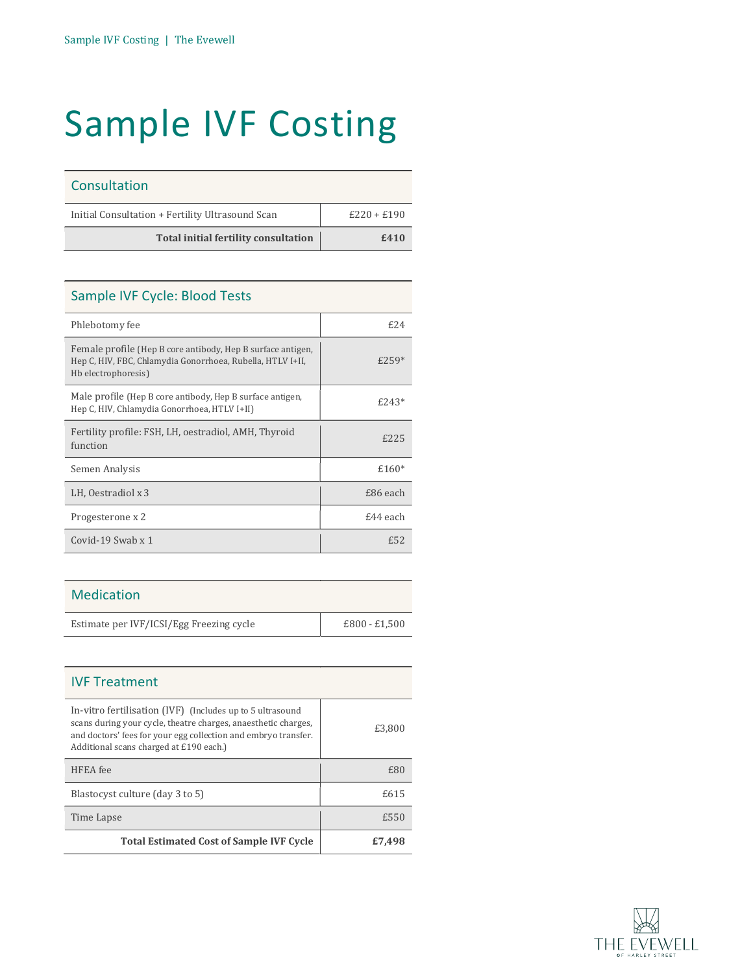## Sample IVF Costing

| Consultation                                     |               |
|--------------------------------------------------|---------------|
| Initial Consultation + Fertility Ultrasound Scan | $£220 + £190$ |
| <b>Total initial fertility consultation</b>      | £410          |

| Sample IVF Cycle: Blood Tests                                                                                                                    |          |
|--------------------------------------------------------------------------------------------------------------------------------------------------|----------|
| Phlebotomy fee                                                                                                                                   | f.24     |
| Female profile (Hep B core antibody, Hep B surface antigen,<br>Hep C, HIV, FBC, Chlamydia Gonorrhoea, Rubella, HTLV I+II,<br>Hb electrophoresis) | $£259*$  |
| Male profile (Hep B core antibody, Hep B surface antigen,<br>Hep C, HIV, Chlamydia Gonorrhoea, HTLV I+II)                                        | $f.243*$ |
| Fertility profile: FSH, LH, oestradiol, AMH, Thyroid<br>function                                                                                 | £225     |
| Semen Analysis                                                                                                                                   | $£160*$  |
| LH, Oestradiol x 3                                                                                                                               | £86 each |
| Progesterone x 2                                                                                                                                 | £44 each |
| Covid-19 Swab $x$ 1                                                                                                                              | f.52     |

## Medication

| Estimate per IVF/ICSI/Egg Freezing cycle |  |
|------------------------------------------|--|

| <b>IVF Treatment</b>                                                                                                                                                                                                                     |        |
|------------------------------------------------------------------------------------------------------------------------------------------------------------------------------------------------------------------------------------------|--------|
| In-vitro fertilisation (IVF) (Includes up to 5 ultrasound<br>scans during your cycle, theatre charges, anaesthetic charges,<br>and doctors' fees for your egg collection and embryo transfer.<br>Additional scans charged at £190 each.) | £3.800 |
| HFEA fee                                                                                                                                                                                                                                 | £80    |
| Blastocyst culture (day 3 to 5)                                                                                                                                                                                                          | £615   |
| Time Lapse                                                                                                                                                                                                                               | £550   |
| <b>Total Estimated Cost of Sample IVF Cycle</b>                                                                                                                                                                                          | £7.498 |

 $E800 - E1,500$